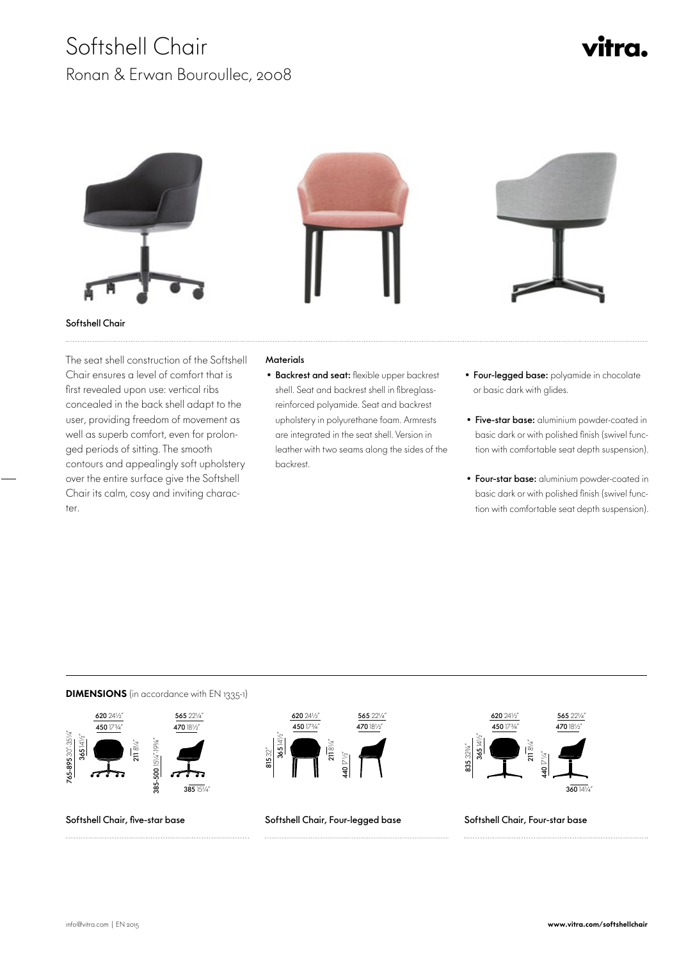## Softshell Chair Ronan & Erwan Bouroullec, 2008



 The seat shell construction of the Softshell Chair ensures a level of comfort that is first revealed upon use: vertical ribs concealed in the back shell adapt to the user, providing freedom of movement as well as superb comfort, even for prolonged periods of sitting. The smooth contours and appealingly soft upholstery over the entire surface give the Softshell Chair its calm, cosy and inviting character.

## **Materials**

- Backrest and seat: flexible upper backrest shell. Seat and backrest shell in fibreglassreinforced polyamide. Seat and backrest upholstery in polyurethane foam. Armrests are integrated in the seat shell. Version in leather with two seams along the sides of the backrest.
- Four-legged base: polyamide in chocolate or basic dark with glides.
- Five-star base: aluminium powder-coated in basic dark or with polished finish (swivel function with comfortable seat depth suspension).
- Four-star base: aluminium powder-coated in basic dark or with polished finish (swivel function with comfortable seat depth suspension).